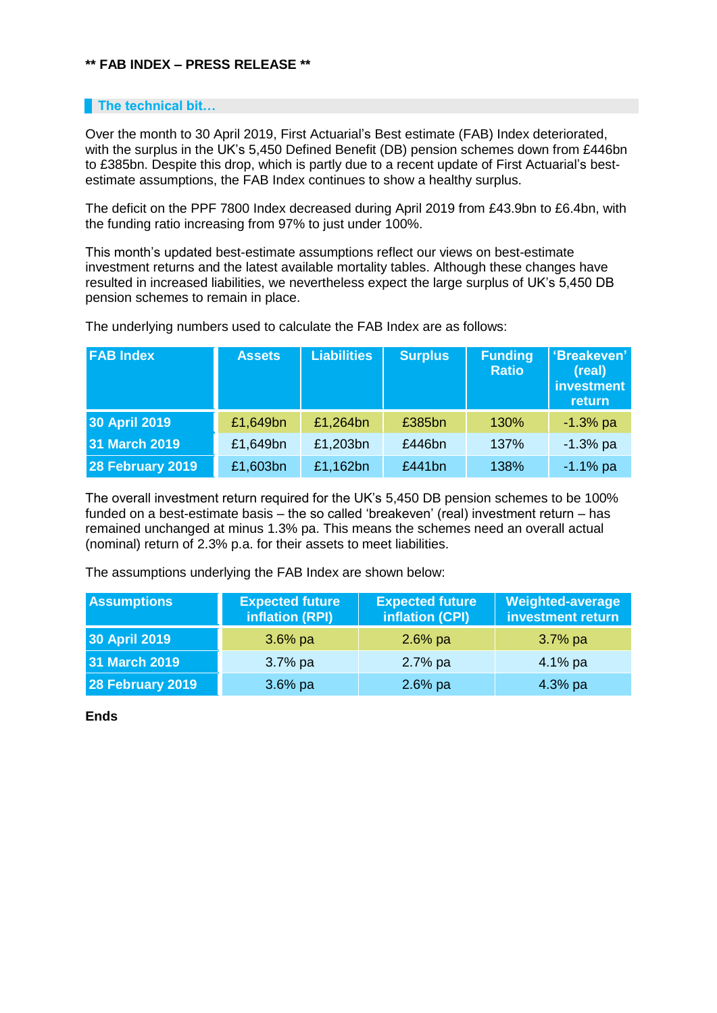## **\*\* FAB INDEX – PRESS RELEASE \*\***

## **The technical bit...**

Over the month to 30 April 2019, First Actuarial's Best estimate (FAB) Index deteriorated, with the surplus in the UK's 5,450 Defined Benefit (DB) pension schemes down from £446bn to £385bn. Despite this drop, which is partly due to a recent update of First Actuarial's bestestimate assumptions, the FAB Index continues to show a healthy surplus.

The deficit on the PPF 7800 Index decreased during April 2019 from £43.9bn to £6.4bn, with the funding ratio increasing from 97% to just under 100%.

This month's updated best-estimate assumptions reflect our views on best-estimate investment returns and the latest available mortality tables. Although these changes have resulted in increased liabilities, we nevertheless expect the large surplus of UK's 5,450 DB pension schemes to remain in place.

| <b>FAB Index</b> | <b>Assets</b> | <b>Liabilities</b> | <b>Surplus</b> | <b>Funding</b><br><b>Ratio</b> | 'Breakeven'<br>(real)<br><b>investment</b><br>return |
|------------------|---------------|--------------------|----------------|--------------------------------|------------------------------------------------------|
| 30 April 2019    | £1,649bn      | £1,264bn           | £385bn         | 130%                           | $-1.3%$ pa                                           |
| 31 March 2019    | £1,649bn      | £1,203bn           | £446bn         | 137%                           | $-1.3%$ pa                                           |
| 28 February 2019 | £1,603bn      | £1,162bn           | £441bn         | 138%                           | $-1.1%$ pa                                           |

The underlying numbers used to calculate the FAB Index are as follows:

The overall investment return required for the UK's 5,450 DB pension schemes to be 100% funded on a best-estimate basis – the so called 'breakeven' (real) investment return – has remained unchanged at minus 1.3% pa. This means the schemes need an overall actual (nominal) return of 2.3% p.a. for their assets to meet liabilities.

The assumptions underlying the FAB Index are shown below:

| <b>Assumptions</b> | <b>Expected future</b><br>inflation (RPI) | <b>Expected future</b><br>inflation (CPI) | <b>Weighted-average</b><br>investment return |
|--------------------|-------------------------------------------|-------------------------------------------|----------------------------------------------|
| 30 April 2019      | $3.6\%$ pa                                | $2.6\%$ pa                                | $3.7\%$ pa                                   |
| 31 March 2019      | $3.7\%$ pa                                | $2.7%$ pa                                 | 4.1% $pa$                                    |
| 28 February 2019   | $3.6\%$ pa                                | $2.6%$ pa                                 | $4.3%$ pa                                    |

**Ends**